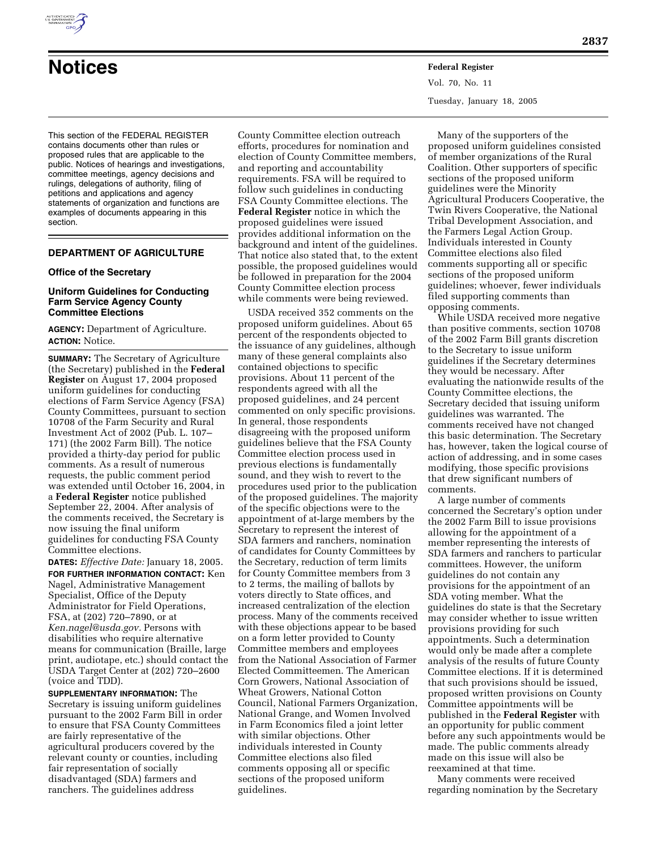

# **Notices Federal Register**

This section of the FEDERAL REGISTER contains documents other than rules or proposed rules that are applicable to the public. Notices of hearings and investigations, committee meetings, agency decisions and rulings, delegations of authority, filing of petitions and applications and agency statements of organization and functions are examples of documents appearing in this section.

## **DEPARTMENT OF AGRICULTURE**

## **Office of the Secretary**

## **Uniform Guidelines for Conducting Farm Service Agency County Committee Elections**

**AGENCY:** Department of Agriculture. **ACTION:** Notice.

**SUMMARY:** The Secretary of Agriculture (the Secretary) published in the **Federal Register** on August 17, 2004 proposed uniform guidelines for conducting elections of Farm Service Agency (FSA) County Committees, pursuant to section 10708 of the Farm Security and Rural Investment Act of 2002 (Pub. L. 107– 171) (the 2002 Farm Bill). The notice provided a thirty-day period for public comments. As a result of numerous requests, the public comment period was extended until October 16, 2004, in a **Federal Register** notice published September 22, 2004. After analysis of the comments received, the Secretary is now issuing the final uniform guidelines for conducting FSA County Committee elections.

**DATES:** *Effective Date:* January 18, 2005. **FOR FURTHER INFORMATION CONTACT:** Ken Nagel, Administrative Management Specialist, Office of the Deputy Administrator for Field Operations, FSA, at (202) 720–7890, or at *Ken.nagel@usda.gov.* Persons with disabilities who require alternative means for communication (Braille, large print, audiotape, etc.) should contact the USDA Target Center at (202) 720–2600 (voice and TDD).

**SUPPLEMENTARY INFORMATION:** The Secretary is issuing uniform guidelines pursuant to the 2002 Farm Bill in order to ensure that FSA County Committees are fairly representative of the agricultural producers covered by the relevant county or counties, including fair representation of socially disadvantaged (SDA) farmers and ranchers. The guidelines address

County Committee election outreach efforts, procedures for nomination and election of County Committee members, and reporting and accountability requirements. FSA will be required to follow such guidelines in conducting FSA County Committee elections. The **Federal Register** notice in which the proposed guidelines were issued provides additional information on the background and intent of the guidelines. That notice also stated that, to the extent possible, the proposed guidelines would be followed in preparation for the 2004 County Committee election process while comments were being reviewed.

USDA received 352 comments on the proposed uniform guidelines. About 65 percent of the respondents objected to the issuance of any guidelines, although many of these general complaints also contained objections to specific provisions. About 11 percent of the respondents agreed with all the proposed guidelines, and 24 percent commented on only specific provisions. In general, those respondents disagreeing with the proposed uniform guidelines believe that the FSA County Committee election process used in previous elections is fundamentally sound, and they wish to revert to the procedures used prior to the publication of the proposed guidelines. The majority of the specific objections were to the appointment of at-large members by the Secretary to represent the interest of SDA farmers and ranchers, nomination of candidates for County Committees by the Secretary, reduction of term limits for County Committee members from 3 to 2 terms, the mailing of ballots by voters directly to State offices, and increased centralization of the election process. Many of the comments received with these objections appear to be based on a form letter provided to County Committee members and employees from the National Association of Farmer Elected Committeemen. The American Corn Growers, National Association of Wheat Growers, National Cotton Council, National Farmers Organization, National Grange, and Women Involved in Farm Economics filed a joint letter with similar objections. Other individuals interested in County Committee elections also filed comments opposing all or specific sections of the proposed uniform guidelines.

Vol. 70, No. 11 Tuesday, January 18, 2005

Many of the supporters of the proposed uniform guidelines consisted of member organizations of the Rural Coalition. Other supporters of specific sections of the proposed uniform guidelines were the Minority Agricultural Producers Cooperative, the Twin Rivers Cooperative, the National Tribal Development Association, and the Farmers Legal Action Group. Individuals interested in County Committee elections also filed comments supporting all or specific sections of the proposed uniform guidelines; whoever, fewer individuals filed supporting comments than opposing comments.

While USDA received more negative than positive comments, section 10708 of the 2002 Farm Bill grants discretion to the Secretary to issue uniform guidelines if the Secretary determines they would be necessary. After evaluating the nationwide results of the County Committee elections, the Secretary decided that issuing uniform guidelines was warranted. The comments received have not changed this basic determination. The Secretary has, however, taken the logical course of action of addressing, and in some cases modifying, those specific provisions that drew significant numbers of comments.

A large number of comments concerned the Secretary's option under the 2002 Farm Bill to issue provisions allowing for the appointment of a member representing the interests of SDA farmers and ranchers to particular committees. However, the uniform guidelines do not contain any provisions for the appointment of an SDA voting member. What the guidelines do state is that the Secretary may consider whether to issue written provisions providing for such appointments. Such a determination would only be made after a complete analysis of the results of future County Committee elections. If it is determined that such provisions should be issued, proposed written provisions on County Committee appointments will be published in the **Federal Register** with an opportunity for public comment before any such appointments would be made. The public comments already made on this issue will also be reexamined at that time.

Many comments were received regarding nomination by the Secretary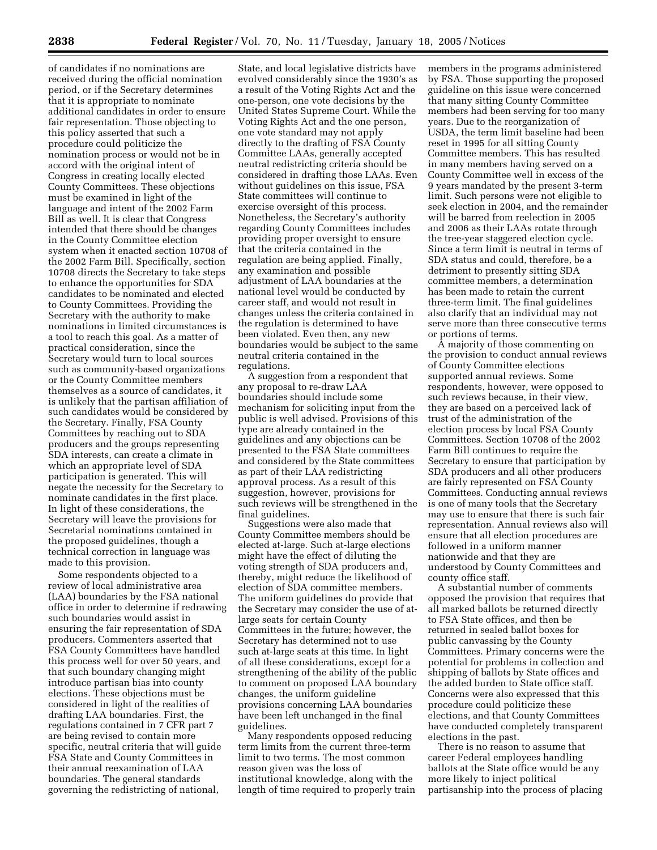of candidates if no nominations are received during the official nomination period, or if the Secretary determines that it is appropriate to nominate additional candidates in order to ensure fair representation. Those objecting to this policy asserted that such a procedure could politicize the nomination process or would not be in accord with the original intent of Congress in creating locally elected County Committees. These objections must be examined in light of the language and intent of the 2002 Farm Bill as well. It is clear that Congress intended that there should be changes in the County Committee election system when it enacted section 10708 of the 2002 Farm Bill. Specifically, section 10708 directs the Secretary to take steps to enhance the opportunities for SDA candidates to be nominated and elected to County Committees. Providing the Secretary with the authority to make nominations in limited circumstances is a tool to reach this goal. As a matter of practical consideration, since the Secretary would turn to local sources such as community-based organizations or the County Committee members themselves as a source of candidates, it is unlikely that the partisan affiliation of such candidates would be considered by the Secretary. Finally, FSA County Committees by reaching out to SDA producers and the groups representing SDA interests, can create a climate in which an appropriate level of SDA participation is generated. This will negate the necessity for the Secretary to nominate candidates in the first place. In light of these considerations, the Secretary will leave the provisions for Secretarial nominations contained in the proposed guidelines, though a technical correction in language was made to this provision.

Some respondents objected to a review of local administrative area (LAA) boundaries by the FSA national office in order to determine if redrawing such boundaries would assist in ensuring the fair representation of SDA producers. Commenters asserted that FSA County Committees have handled this process well for over 50 years, and that such boundary changing might introduce partisan bias into county elections. These objections must be considered in light of the realities of drafting LAA boundaries. First, the regulations contained in 7 CFR part 7 are being revised to contain more specific, neutral criteria that will guide FSA State and County Committees in their annual reexamination of LAA boundaries. The general standards governing the redistricting of national,

State, and local legislative districts have evolved considerably since the 1930's as a result of the Voting Rights Act and the one-person, one vote decisions by the United States Supreme Court. While the Voting Rights Act and the one person, one vote standard may not apply directly to the drafting of FSA County Committee LAAs, generally accepted neutral redistricting criteria should be considered in drafting those LAAs. Even without guidelines on this issue, FSA State committees will continue to exercise oversight of this process. Nonetheless, the Secretary's authority regarding County Committees includes providing proper oversight to ensure that the criteria contained in the regulation are being applied. Finally, any examination and possible adjustment of LAA boundaries at the national level would be conducted by career staff, and would not result in changes unless the criteria contained in the regulation is determined to have been violated. Even then, any new boundaries would be subject to the same neutral criteria contained in the regulations.

A suggestion from a respondent that any proposal to re-draw LAA boundaries should include some mechanism for soliciting input from the public is well advised. Provisions of this type are already contained in the guidelines and any objections can be presented to the FSA State committees and considered by the State committees as part of their LAA redistricting approval process. As a result of this suggestion, however, provisions for such reviews will be strengthened in the final guidelines.

Suggestions were also made that County Committee members should be elected at-large. Such at-large elections might have the effect of diluting the voting strength of SDA producers and, thereby, might reduce the likelihood of election of SDA committee members. The uniform guidelines do provide that the Secretary may consider the use of atlarge seats for certain County Committees in the future; however, the Secretary has determined not to use such at-large seats at this time. In light of all these considerations, except for a strengthening of the ability of the public to comment on proposed LAA boundary changes, the uniform guideline provisions concerning LAA boundaries have been left unchanged in the final guidelines.

Many respondents opposed reducing term limits from the current three-term limit to two terms. The most common reason given was the loss of institutional knowledge, along with the length of time required to properly train

members in the programs administered by FSA. Those supporting the proposed guideline on this issue were concerned that many sitting County Committee members had been serving for too many years. Due to the reorganization of USDA, the term limit baseline had been reset in 1995 for all sitting County Committee members. This has resulted in many members having served on a County Committee well in excess of the 9 years mandated by the present 3-term limit. Such persons were not eligible to seek election in 2004, and the remainder will be barred from reelection in 2005 and 2006 as their LAAs rotate through the tree-year staggered election cycle. Since a term limit is neutral in terms of SDA status and could, therefore, be a detriment to presently sitting SDA committee members, a determination has been made to retain the current three-term limit. The final guidelines also clarify that an individual may not serve more than three consecutive terms or portions of terms.

A majority of those commenting on the provision to conduct annual reviews of County Committee elections supported annual reviews. Some respondents, however, were opposed to such reviews because, in their view, they are based on a perceived lack of trust of the administration of the election process by local FSA County Committees. Section 10708 of the 2002 Farm Bill continues to require the Secretary to ensure that participation by SDA producers and all other producers are fairly represented on FSA County Committees. Conducting annual reviews is one of many tools that the Secretary may use to ensure that there is such fair representation. Annual reviews also will ensure that all election procedures are followed in a uniform manner nationwide and that they are understood by County Committees and county office staff.

A substantial number of comments opposed the provision that requires that all marked ballots be returned directly to FSA State offices, and then be returned in sealed ballot boxes for public canvassing by the County Committees. Primary concerns were the potential for problems in collection and shipping of ballots by State offices and the added burden to State office staff. Concerns were also expressed that this procedure could politicize these elections, and that County Committees have conducted completely transparent elections in the past.

There is no reason to assume that career Federal employees handling ballots at the State office would be any more likely to inject political partisanship into the process of placing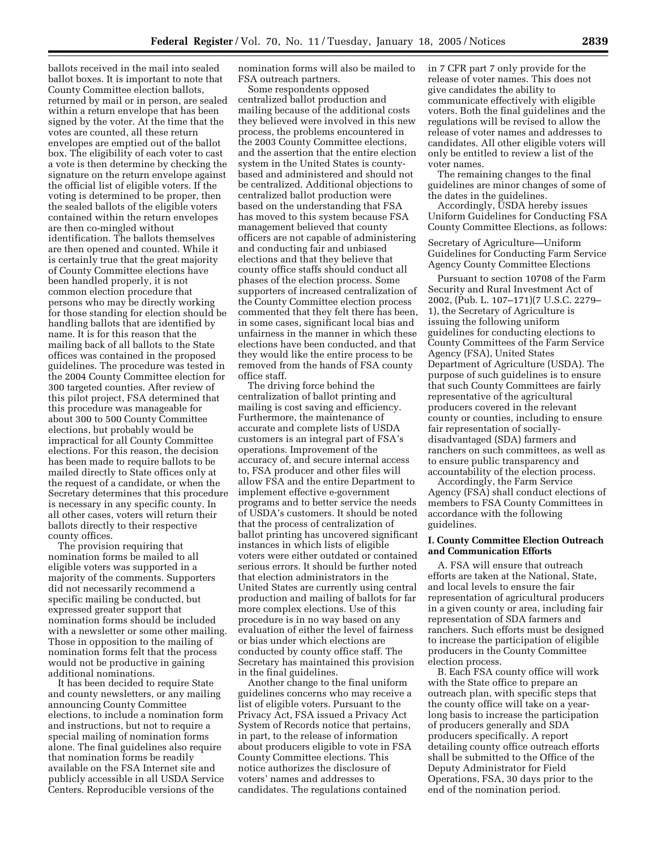ballots received in the mail into sealed ballot boxes. It is important to note that County Committee election ballots, returned by mail or in person, are sealed within a return envelope that has been signed by the voter. At the time that the votes are counted, all these return envelopes are emptied out of the ballot box. The eligibility of each voter to cast a vote is then determine by checking the signature on the return envelope against the official list of eligible voters. If the voting is determined to be proper, then the sealed ballots of the eligible voters contained within the return envelopes are then co-mingled without identification. The ballots themselves are then opened and counted. While it is certainly true that the great majority of County Committee elections have been handled properly, it is not common election procedure that persons who may be directly working for those standing for election should be handling ballots that are identified by name. It is for this reason that the mailing back of all ballots to the State offices was contained in the proposed guidelines. The procedure was tested in the 2004 County Committee election for 300 targeted counties. After review of this pilot project, FSA determined that this procedure was manageable for about 300 to 500 County Committee elections, but probably would be impractical for all County Committee elections. For this reason, the decision has been made to require ballots to be mailed directly to State offices only at the request of a candidate, or when the Secretary determines that this procedure is necessary in any specific county. In all other cases, voters will return their ballots directly to their respective county offices.

The provision requiring that nomination forms be mailed to all eligible voters was supported in a majority of the comments. Supporters did not necessarily recommend a specific mailing be conducted, but expressed greater support that nomination forms should be included with a newsletter or some other mailing. Those in opposition to the mailing of nomination forms felt that the process would not be productive in gaining additional nominations.

It has been decided to require State and county newsletters, or any mailing announcing County Committee elections, to include a nomination form and instructions, but not to require a special mailing of nomination forms alone. The final guidelines also require that nomination forms be readily available on the FSA Internet site and publicly accessible in all USDA Service Centers. Reproducible versions of the

nomination forms will also be mailed to FSA outreach partners.

Some respondents opposed centralized ballot production and mailing because of the additional costs they believed were involved in this new process, the problems encountered in the 2003 County Committee elections, and the assertion that the entire election system in the United States is countybased and administered and should not be centralized. Additional objections to centralized ballot production were based on the understanding that FSA has moved to this system because FSA management believed that county officers are not capable of administering and conducting fair and unbiased elections and that they believe that county office staffs should conduct all phases of the election process. Some supporters of increased centralization of the County Committee election process commented that they felt there has been, in some cases, significant local bias and unfairness in the manner in which these elections have been conducted, and that they would like the entire process to be removed from the hands of FSA county office staff.

The driving force behind the centralization of ballot printing and mailing is cost saving and efficiency. Furthermore, the maintenance of accurate and complete lists of USDA customers is an integral part of FSA's operations. Improvement of the accuracy of, and secure internal access to, FSA producer and other files will allow FSA and the entire Department to implement effective e-government programs and to better service the needs of USDA's customers. It should be noted that the process of centralization of ballot printing has uncovered significant instances in which lists of eligible voters were either outdated or contained serious errors. It should be further noted that election administrators in the United States are currently using central production and mailing of ballots for far more complex elections. Use of this procedure is in no way based on any evaluation of either the level of fairness or bias under which elections are conducted by county office staff. The Secretary has maintained this provision in the final guidelines.

Another change to the final uniform guidelines concerns who may receive a list of eligible voters. Pursuant to the Privacy Act, FSA issued a Privacy Act System of Records notice that pertains, in part, to the release of information about producers eligible to vote in FSA County Committee elections. This notice authorizes the disclosure of voters' names and addresses to candidates. The regulations contained

in 7 CFR part 7 only provide for the release of voter names. This does not give candidates the ability to communicate effectively with eligible voters. Both the final guidelines and the regulations will be revised to allow the release of voter names and addresses to candidates. All other eligible voters will only be entitled to review a list of the voter names.

The remaining changes to the final guidelines are minor changes of some of the dates in the guidelines.

Accordingly, USDA hereby issues Uniform Guidelines for Conducting FSA County Committee Elections, as follows:

Secretary of Agriculture—Uniform Guidelines for Conducting Farm Service Agency County Committee Elections

Pursuant to section 10708 of the Farm Security and Rural Investment Act of 2002, (Pub. L. 107–171)(7 U.S.C. 2279– 1), the Secretary of Agriculture is issuing the following uniform guidelines for conducting elections to County Committees of the Farm Service Agency (FSA), United States Department of Agriculture (USDA). The purpose of such guidelines is to ensure that such County Committees are fairly representative of the agricultural producers covered in the relevant county or counties, including to ensure fair representation of sociallydisadvantaged (SDA) farmers and ranchers on such committees, as well as to ensure public transparency and accountability of the election process.

Accordingly, the Farm Service Agency (FSA) shall conduct elections of members to FSA County Committees in accordance with the following guidelines.

#### **I. County Committee Election Outreach and Communication Efforts**

A. FSA will ensure that outreach efforts are taken at the National, State, and local levels to ensure the fair representation of agricultural producers in a given county or area, including fair representation of SDA farmers and ranchers. Such efforts must be designed to increase the participation of eligible producers in the County Committee election process.

B. Each FSA county office will work with the State office to prepare an outreach plan, with specific steps that the county office will take on a yearlong basis to increase the participation of producers generally and SDA producers specifically. A report detailing county office outreach efforts shall be submitted to the Office of the Deputy Administrator for Field Operations, FSA, 30 days prior to the end of the nomination period.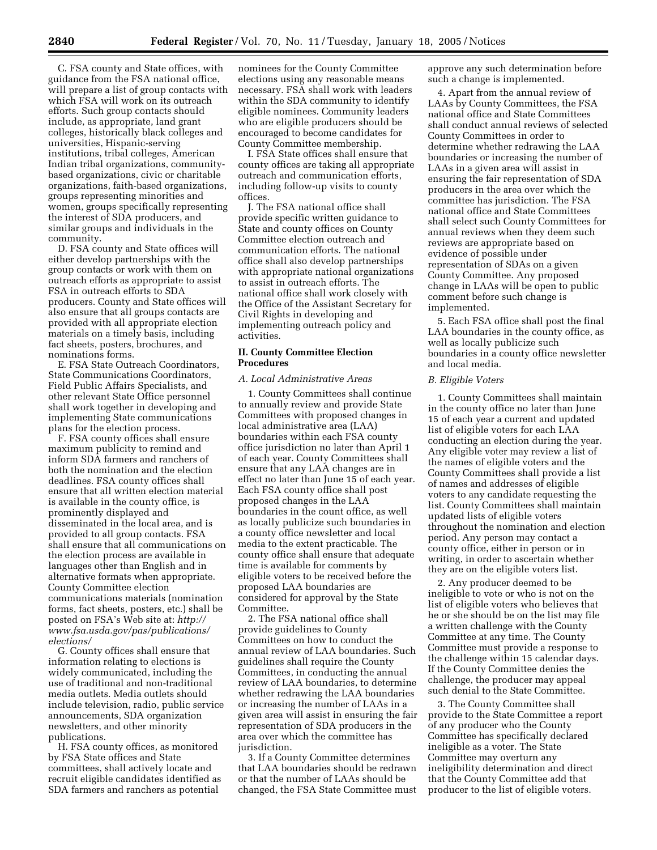C. FSA county and State offices, with guidance from the FSA national office, will prepare a list of group contacts with which FSA will work on its outreach efforts. Such group contacts should include, as appropriate, land grant colleges, historically black colleges and universities, Hispanic-serving institutions, tribal colleges, American Indian tribal organizations, communitybased organizations, civic or charitable organizations, faith-based organizations, groups representing minorities and women, groups specifically representing the interest of SDA producers, and similar groups and individuals in the community.

D. FSA county and State offices will either develop partnerships with the group contacts or work with them on outreach efforts as appropriate to assist FSA in outreach efforts to SDA producers. County and State offices will also ensure that all groups contacts are provided with all appropriate election materials on a timely basis, including fact sheets, posters, brochures, and nominations forms.

E. FSA State Outreach Coordinators, State Communications Coordinators, Field Public Affairs Specialists, and other relevant State Office personnel shall work together in developing and implementing State communications plans for the election process.

F. FSA county offices shall ensure maximum publicity to remind and inform SDA farmers and ranchers of both the nomination and the election deadlines. FSA county offices shall ensure that all written election material is available in the county office, is prominently displayed and disseminated in the local area, and is provided to all group contacts. FSA shall ensure that all communications on the election process are available in languages other than English and in alternative formats when appropriate. County Committee election communications materials (nomination forms, fact sheets, posters, etc.) shall be posted on FSA's Web site at: *http:// www.fsa.usda.gov/pas/publications/ elections/*

G. County offices shall ensure that information relating to elections is widely communicated, including the use of traditional and non-traditional media outlets. Media outlets should include television, radio, public service announcements, SDA organization newsletters, and other minority publications.

H. FSA county offices, as monitored by FSA State offices and State committees, shall actively locate and recruit eligible candidates identified as SDA farmers and ranchers as potential

nominees for the County Committee elections using any reasonable means necessary. FSA shall work with leaders within the SDA community to identify eligible nominees. Community leaders who are eligible producers should be encouraged to become candidates for County Committee membership.

I. FSA State offices shall ensure that county offices are taking all appropriate outreach and communication efforts, including follow-up visits to county offices.

J. The FSA national office shall provide specific written guidance to State and county offices on County Committee election outreach and communication efforts. The national office shall also develop partnerships with appropriate national organizations to assist in outreach efforts. The national office shall work closely with the Office of the Assistant Secretary for Civil Rights in developing and implementing outreach policy and activities.

#### **II. County Committee Election Procedures**

# *A. Local Administrative Areas*

1. County Committees shall continue to annually review and provide State Committees with proposed changes in local administrative area (LAA) boundaries within each FSA county office jurisdiction no later than April 1 of each year. County Committees shall ensure that any LAA changes are in effect no later than June 15 of each year. Each FSA county office shall post proposed changes in the LAA boundaries in the count office, as well as locally publicize such boundaries in a county office newsletter and local media to the extent practicable. The county office shall ensure that adequate time is available for comments by eligible voters to be received before the proposed LAA boundaries are considered for approval by the State Committee.

2. The FSA national office shall provide guidelines to County Committees on how to conduct the annual review of LAA boundaries. Such guidelines shall require the County Committees, in conducting the annual review of LAA boundaries, to determine whether redrawing the LAA boundaries or increasing the number of LAAs in a given area will assist in ensuring the fair representation of SDA producers in the area over which the committee has jurisdiction.

3. If a County Committee determines that LAA boundaries should be redrawn or that the number of LAAs should be changed, the FSA State Committee must

approve any such determination before such a change is implemented.

4. Apart from the annual review of LAAs by County Committees, the FSA national office and State Committees shall conduct annual reviews of selected County Committees in order to determine whether redrawing the LAA boundaries or increasing the number of LAAs in a given area will assist in ensuring the fair representation of SDA producers in the area over which the committee has jurisdiction. The FSA national office and State Committees shall select such County Committees for annual reviews when they deem such reviews are appropriate based on evidence of possible under representation of SDAs on a given County Committee. Any proposed change in LAAs will be open to public comment before such change is implemented.

5. Each FSA office shall post the final LAA boundaries in the county office, as well as locally publicize such boundaries in a county office newsletter and local media.

#### *B. Eligible Voters*

1. County Committees shall maintain in the county office no later than June 15 of each year a current and updated list of eligible voters for each LAA conducting an election during the year. Any eligible voter may review a list of the names of eligible voters and the County Committees shall provide a list of names and addresses of eligible voters to any candidate requesting the list. County Committees shall maintain updated lists of eligible voters throughout the nomination and election period. Any person may contact a county office, either in person or in writing, in order to ascertain whether they are on the eligible voters list.

2. Any producer deemed to be ineligible to vote or who is not on the list of eligible voters who believes that he or she should be on the list may file a written challenge with the County Committee at any time. The County Committee must provide a response to the challenge within 15 calendar days. If the County Committee denies the challenge, the producer may appeal such denial to the State Committee.

3. The County Committee shall provide to the State Committee a report of any producer who the County Committee has specifically declared ineligible as a voter. The State Committee may overturn any ineligibility determination and direct that the County Committee add that producer to the list of eligible voters.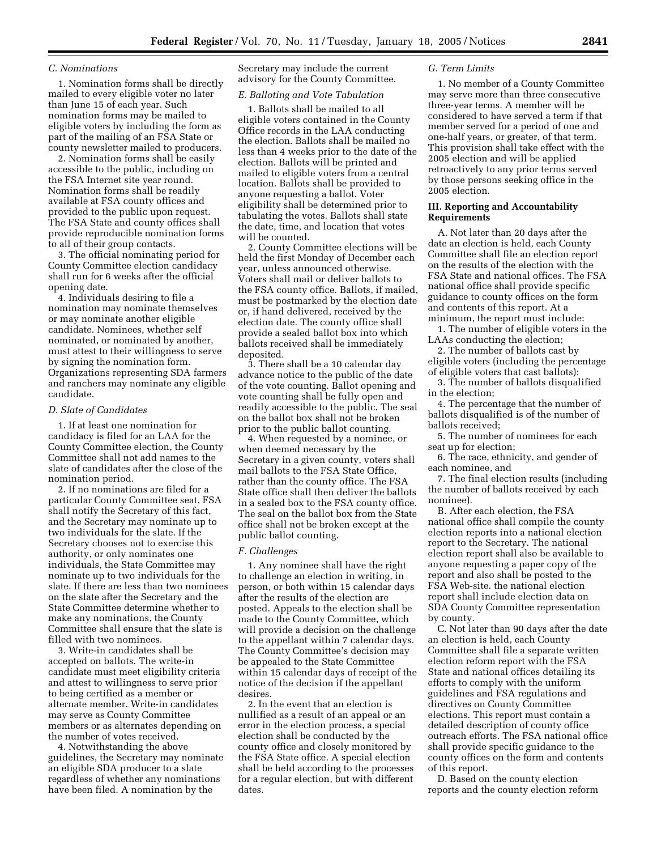#### *C. Nominations*

1. Nomination forms shall be directly mailed to every eligible voter no later than June 15 of each year. Such nomination forms may be mailed to eligible voters by including the form as part of the mailing of an FSA State or county newsletter mailed to producers.

2. Nomination forms shall be easily accessible to the public, including on the FSA Internet site year round. Nomination forms shall be readily available at FSA county offices and provided to the public upon request. The FSA State and county offices shall provide reproducible nomination forms to all of their group contacts.

3. The official nominating period for County Committee election candidacy shall run for 6 weeks after the official opening date.

4. Individuals desiring to file a nomination may nominate themselves or may nominate another eligible candidate. Nominees, whether self nominated, or nominated by another, must attest to their willingness to serve by signing the nomination form. Organizations representing SDA farmers and ranchers may nominate any eligible candidate.

#### *D. Slate of Candidates*

1. If at least one nomination for candidacy is filed for an LAA for the County Committee election, the County Committee shall not add names to the slate of candidates after the close of the nomination period.

2. If no nominations are filed for a particular County Committee seat, FSA shall notify the Secretary of this fact, and the Secretary may nominate up to two individuals for the slate. If the Secretary chooses not to exercise this authority, or only nominates one individuals, the State Committee may nominate up to two individuals for the slate. If there are less than two nominees on the slate after the Secretary and the State Committee determine whether to make any nominations, the County Committee shall ensure that the slate is filled with two nominees.

3. Write-in candidates shall be accepted on ballots. The write-in candidate must meet eligibility criteria and attest to willingness to serve prior to being certified as a member or alternate member. Write-in candidates may serve as County Committee members or as alternates depending on the number of votes received.

4. Notwithstanding the above guidelines, the Secretary may nominate an eligible SDA producer to a slate regardless of whether any nominations have been filed. A nomination by the

Secretary may include the current advisory for the County Committee.

## *E. Balloting and Vote Tabulation*

1. Ballots shall be mailed to all eligible voters contained in the County Office records in the LAA conducting the election. Ballots shall be mailed no less than 4 weeks prior to the date of the election. Ballots will be printed and mailed to eligible voters from a central location. Ballots shall be provided to anyone requesting a ballot. Voter eligibility shall be determined prior to tabulating the votes. Ballots shall state the date, time, and location that votes will be counted.

2. County Committee elections will be held the first Monday of December each year, unless announced otherwise. Voters shall mail or deliver ballots to the FSA county office. Ballots, if mailed, must be postmarked by the election date or, if hand delivered, received by the election date. The county office shall provide a sealed ballot box into which ballots received shall be immediately deposited.

3. There shall be a 10 calendar day advance notice to the public of the date of the vote counting. Ballot opening and vote counting shall be fully open and readily accessible to the public. The seal on the ballot box shall not be broken prior to the public ballot counting.

4. When requested by a nominee, or when deemed necessary by the Secretary in a given county, voters shall mail ballots to the FSA State Office, rather than the county office. The FSA State office shall then deliver the ballots in a sealed box to the FSA county office. The seal on the ballot box from the State office shall not be broken except at the public ballot counting.

#### *F. Challenges*

1. Any nominee shall have the right to challenge an election in writing, in person, or both within 15 calendar days after the results of the election are posted. Appeals to the election shall be made to the County Committee, which will provide a decision on the challenge to the appellant within 7 calendar days. The County Committee's decision may be appealed to the State Committee within 15 calendar days of receipt of the notice of the decision if the appellant desires.

2. In the event that an election is nullified as a result of an appeal or an error in the election process, a special election shall be conducted by the county office and closely monitored by the FSA State office. A special election shall be held according to the processes for a regular election, but with different dates.

#### *G. Term Limits*

1. No member of a County Committee may serve more than three consecutive three-year terms. A member will be considered to have served a term if that member served for a period of one and one-half years, or greater, of that term. This provision shall take effect with the 2005 election and will be applied retroactively to any prior terms served by those persons seeking office in the 2005 election.

#### **III. Reporting and Accountability Requirements**

A. Not later than 20 days after the date an election is held, each County Committee shall file an election report on the results of the election with the FSA State and national offices. The FSA national office shall provide specific guidance to county offices on the form and contents of this report. At a minimum, the report must include:

1. The number of eligible voters in the LAAs conducting the election;

2. The number of ballots cast by eligible voters (including the percentage

of eligible voters that cast ballots); 3. The number of ballots disqualified

in the election;

4. The percentage that the number of ballots disqualified is of the number of ballots received;

5. The number of nominees for each seat up for election;

6. The race, ethnicity, and gender of each nominee, and

7. The final election results (including the number of ballots received by each nominee).

B. After each election, the FSA national office shall compile the county election reports into a national election report to the Secretary. The national election report shall also be available to anyone requesting a paper copy of the report and also shall be posted to the FSA Web-site. the national election report shall include election data on SDA County Committee representation by county.

C. Not later than 90 days after the date an election is held, each County Committee shall file a separate written election reform report with the FSA State and national offices detailing its efforts to comply with the uniform guidelines and FSA regulations and directives on County Committee elections. This report must contain a detailed description of county office outreach efforts. The FSA national office shall provide specific guidance to the county offices on the form and contents of this report.

D. Based on the county election reports and the county election reform